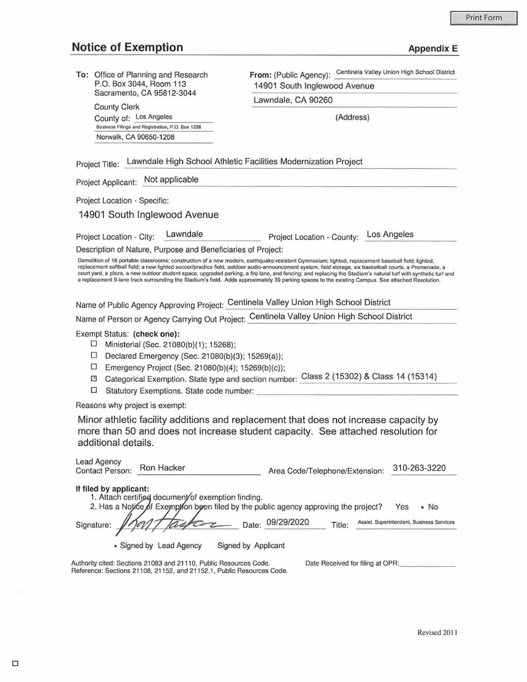## **Notice of Exemption Appendix E** Appendix E

| To: Office of Planning and Research<br>P.O. Box 3044, Room 113<br>Sacramento, CA 95812-3044                                                                                                                                                                                                                                                                                                                                                                                                                                                                                                                                          | From: (Public Agency): Centinela Valley Union High School District                       |
|--------------------------------------------------------------------------------------------------------------------------------------------------------------------------------------------------------------------------------------------------------------------------------------------------------------------------------------------------------------------------------------------------------------------------------------------------------------------------------------------------------------------------------------------------------------------------------------------------------------------------------------|------------------------------------------------------------------------------------------|
|                                                                                                                                                                                                                                                                                                                                                                                                                                                                                                                                                                                                                                      | 14901 South Inglewood Avenue                                                             |
| <b>County Clerk</b>                                                                                                                                                                                                                                                                                                                                                                                                                                                                                                                                                                                                                  | Lawndale, CA 90260                                                                       |
| County of: Los Angeles                                                                                                                                                                                                                                                                                                                                                                                                                                                                                                                                                                                                               | (Address)                                                                                |
| Business Filings and Registration, P.O. Box 1208                                                                                                                                                                                                                                                                                                                                                                                                                                                                                                                                                                                     |                                                                                          |
| Norwalk, CA 90650-1208                                                                                                                                                                                                                                                                                                                                                                                                                                                                                                                                                                                                               |                                                                                          |
| Lawndale High School Athletic Facilities Modernization Project<br>Project Title:                                                                                                                                                                                                                                                                                                                                                                                                                                                                                                                                                     |                                                                                          |
| Project Applicant: Not applicable                                                                                                                                                                                                                                                                                                                                                                                                                                                                                                                                                                                                    |                                                                                          |
| Project Location - Specific:                                                                                                                                                                                                                                                                                                                                                                                                                                                                                                                                                                                                         |                                                                                          |
| 14901 South Inglewood Avenue                                                                                                                                                                                                                                                                                                                                                                                                                                                                                                                                                                                                         |                                                                                          |
| Lawndale<br>Project Location - City:                                                                                                                                                                                                                                                                                                                                                                                                                                                                                                                                                                                                 | Project Location - County: Los Angeles                                                   |
| Description of Nature, Purpose and Beneficiaries of Project:                                                                                                                                                                                                                                                                                                                                                                                                                                                                                                                                                                         |                                                                                          |
| Demolition of 16 portable classrooms; construction of a new modern, earthquake-resistant Gymnasium; lighted, replacement baseball field; lighted,<br>replacement softball field; a new lighted soccer/practice field, outdoor audio-announcement system, field storage, six basketball courts, a Promenade, a<br>court yard, a plaza, a new outdoor student space, upgraded parking, a fire lane, and fencing; and replacing the Stadium's natural turf with synthetic turf and<br>a replacement 9-lane track surrounding the Stadium's field. Adds approximately 39 parking spaces to the existing Campus. See attached Resolution. |                                                                                          |
| Name of Public Agency Approving Project: Centinela Valley Union High School District                                                                                                                                                                                                                                                                                                                                                                                                                                                                                                                                                 |                                                                                          |
| Name of Person or Agency Carrying Out Project: Centinela Valley Union High School District                                                                                                                                                                                                                                                                                                                                                                                                                                                                                                                                           |                                                                                          |
| Exempt Status: (check one):<br>⊔<br>Ministerial (Sec. 21080(b)(1); 15268);<br>□<br>Declared Emergency (Sec. 21080(b)(3); 15269(a));<br>□<br>Emergency Project (Sec. 21080(b)(4); 15269(b)(c));<br>×<br>□<br>Statutory Exemptions. State code number:                                                                                                                                                                                                                                                                                                                                                                                 | Categorical Exemption. State type and section number: Class 2 (15302) & Class 14 (15314) |
| Reasons why project is exempt:                                                                                                                                                                                                                                                                                                                                                                                                                                                                                                                                                                                                       |                                                                                          |
| Minor athletic facility additions and replacement that does not increase capacity by<br>more than 50 and does not increase student capacity. See attached resolution for<br>additional details.                                                                                                                                                                                                                                                                                                                                                                                                                                      |                                                                                          |
| <b>Lead Agency</b><br>Ron Hacker<br><b>Contact Person:</b>                                                                                                                                                                                                                                                                                                                                                                                                                                                                                                                                                                           | 310-263-3220<br>Area Code/Telephone/Extension:                                           |
| If filed by applicant:<br>1. Attach certified document of exemption finding.<br>2. Has a Notice of Exemption been filed by the public agency approving the project?<br>Signature:                                                                                                                                                                                                                                                                                                                                                                                                                                                    | Yes<br>∙ No<br>Date: 09/29/2020<br>Assist. Superintendent, Business Services<br>Title:   |
| • Signed by Lead Agency<br>Signed by Applicant                                                                                                                                                                                                                                                                                                                                                                                                                                                                                                                                                                                       |                                                                                          |
| Authority cited: Sections 21083 and 21110, Public Resources Code.<br>Date Received for filing at OPR:<br>Reference: Sections 21108, 21152, and 21152.1, Public Resources Code.                                                                                                                                                                                                                                                                                                                                                                                                                                                       |                                                                                          |
|                                                                                                                                                                                                                                                                                                                                                                                                                                                                                                                                                                                                                                      |                                                                                          |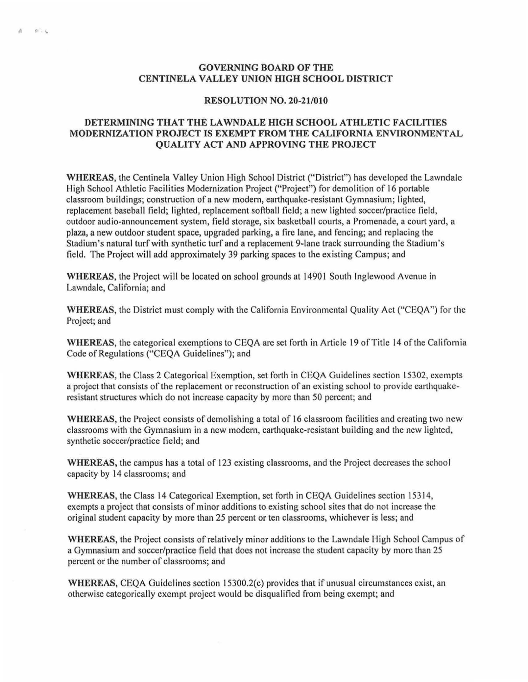## GOVERNING BOARD OF THE CENTINELA VALLEY UNION HIGH SCHOOL DISTRICT

fJ *t* '

## RESOLUTION NO. 20-21/010

## DETERMINING THAT THE LAWNDALE HIGH SCHOOL ATHLETIC FACILITIES MODERNIZATION PROJECT IS EXEMPT FROM THE CALIFORNIA ENVIRONMENTAL QUALITY ACT AND APPROVING THE PROJECT

WHEREAS, the Centinela Valley Union High School District ("District") has developed the Lawndale High School Athletic Facilities Modernization Project ("Project") for demolition of 16 portable classroom buildings; construction of a new modern, earthquake-resistant Gymnasium; lighted, replacement baseball field; lighted, replacement softball field; a new lighted soccer/practice field, outdoor audio-announcement system, field storage, six basketball courts, a Promenade, a court yard, a plaza, a new outdoor student space, upgraded parking, a fire lane, and fencing; and replacing the Stadium's natural turf with synthetic turf and a replacement 9-lane track surrounding the Stadium's field. The Project will add approximately 39 parking spaces to the existing Campus; and

WHEREAS, the Project will be located on school grounds at 14901 South Inglewood Avenue in Lawndale, California; and

WHEREAS, the District must comply with the California Environmental Quality Act ("CEQA") for the Project; and

WHEREAS, the categorical exemptions to CEQA are set forth in Article 19 of Title 14 of the California Code of Regulations ("CEQA Guidelines"); and

WHEREAS, the Class 2 Categorical Exemption, set forth in CEQA Guidelines section 15302, exempts a project that consists of the replacement or reconstruction of an existing school to provide earthquakeresistant structures which do not increase capacity by more than 50 percent; and

WHEREAS, the Project consists of demolishing a total of 16 classroom facilities and creating two new classrooms with the Gymnasium in a new modern, earthquake-resistant building and the new lighted, synthetic soccer/practice field; and

WHEREAS, the campus has a total of 123 existing classrooms, and the Project decreases the school capacity by 14 classrooms; and

WHEREAS, the Class 14 Categorical Exemption, set forth in CEQA Guidelines section 15314, exempts a project that consists of minor additions to existing school sites that do not increase the original student capacity by more than 25 percent or ten classrooms, whichever is less; and

WHEREAS, the Project consists of relatively minor additions to the Lawndale High School Campus of a Gymnasium and soccer/practice field that does not increase the student capacity by more than 25 percent or the number of classrooms; and

WHEREAS, CEQA Guidelines section  $15300.2(c)$  provides that if unusual circumstances exist, an otherwise categorically exempt project would be disqualified from being exempt; and